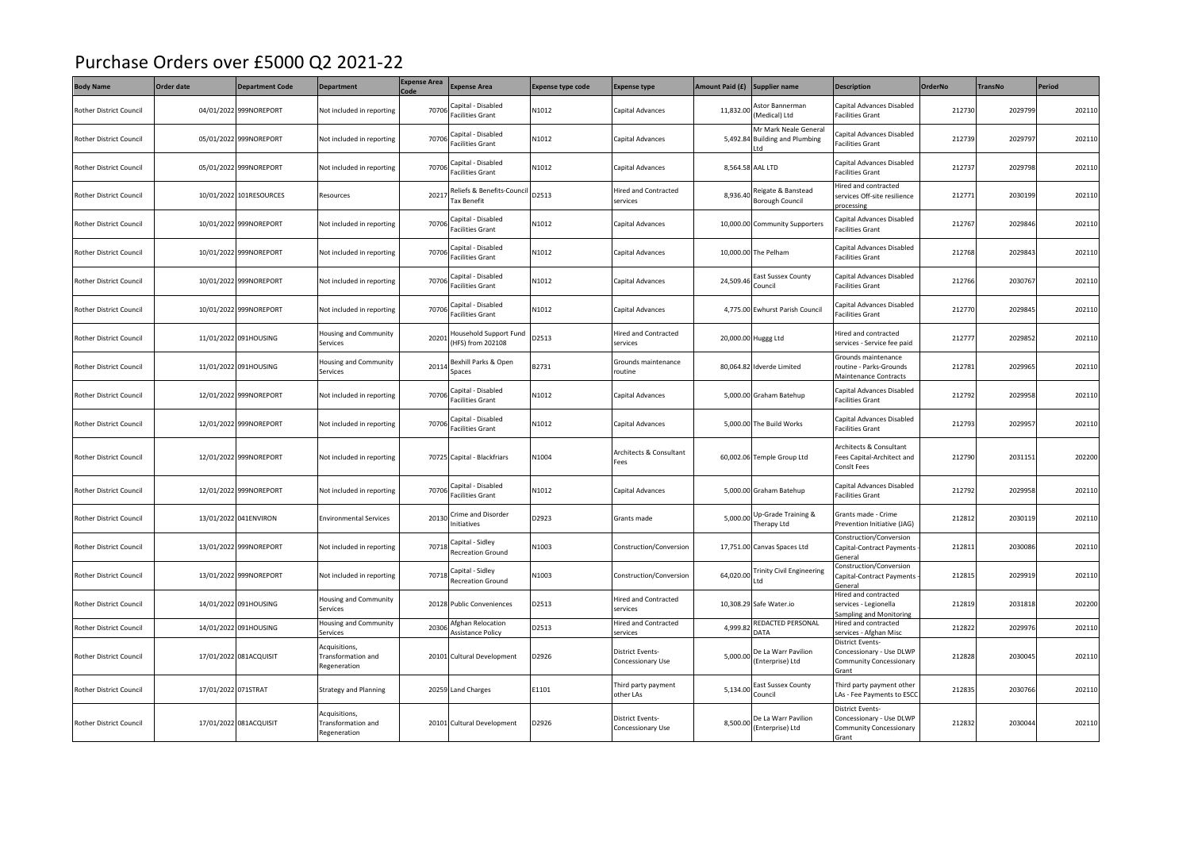## Purchase Orders over £5000 Q2 2021-22

| <b>Body Name</b>               | Order date          | <b>Department Code</b>  | <b>Department</b>                                   | <b>Expense Area</b><br>Code | <b>Expense Area</b>                           | <b>Expense type code</b> | <b>Expense type</b>                     | Amount Paid (£) | Supplier name                                                 | <b>Description</b>                                                                      | <b>OrderNo</b> | <b>TransNo</b> | Period |
|--------------------------------|---------------------|-------------------------|-----------------------------------------------------|-----------------------------|-----------------------------------------------|--------------------------|-----------------------------------------|-----------------|---------------------------------------------------------------|-----------------------------------------------------------------------------------------|----------------|----------------|--------|
| Rother District Council        |                     | 04/01/2022 999NOREPORT  | Not included in reporting                           | 70706                       | Capital - Disabled<br>Facilities Grant        | N1012                    | Capital Advances                        | 11,832.00       | Astor Bannerman<br>Medical) Ltd                               | Capital Advances Disabled<br>acilities Grant                                            | 212730         | 2029799        | 202110 |
| Rother District Council        |                     | 05/01/2022 999NOREPORT  | Not included in reporting                           | 70706                       | Capital - Disabled<br><b>Facilities Grant</b> | N1012                    | Capital Advances                        |                 | Mr Mark Neale General<br>5,492.84 Building and Plumbing<br>td | Capital Advances Disabled<br>acilities Grant                                            | 212739         | 2029797        | 202110 |
| <b>Rother District Council</b> |                     | 05/01/2022 999NOREPORT  | Not included in reporting                           | 70706                       | Capital - Disabled<br>Facilities Grant        | N1012                    | Capital Advances                        |                 | 8,564.58 AAL LTD                                              | Capital Advances Disabled<br>Facilities Grant                                           | 212737         | 2029798        | 202110 |
| Rother District Council        |                     | 10/01/2022 101RESOURCES | Resources                                           | 20217                       | Reliefs & Benefits-Counci<br>Tax Benefit      | D2513                    | lired and Contracted<br>services        | 8,936.40        | Reigate & Banstead<br><b>Borough Council</b>                  | lired and contracted<br>services Off-site resilience<br>processing                      | 212771         | 2030199        | 202110 |
| <b>Rother District Council</b> |                     | 10/01/2022 999NOREPORT  | Not included in reporting                           | 70706                       | Capital - Disabled<br><b>Facilities Grant</b> | N1012                    | Capital Advances                        |                 | 10,000.00 Community Supporters                                | apital Advances Disabled<br>Facilities Grant                                            | 212767         | 2029846        | 202110 |
| Rother District Council        |                     | 10/01/2022 999NOREPORT  | Not included in reporting                           | 70706                       | Capital - Disabled<br>Facilities Grant        | N1012                    | Capital Advances                        |                 | 10,000.00 The Pelham                                          | Capital Advances Disabled<br>acilities Grant                                            | 212768         | 2029843        | 202110 |
| Rother District Council        |                     | 10/01/2022 999NOREPORT  | Not included in reporting                           | 70706                       | Capital - Disabled<br><b>Facilities Grant</b> | N1012                    | Capital Advances                        | 24,509.46       | East Sussex County<br>Council                                 | Capital Advances Disabled<br><b>Facilities Grant</b>                                    | 212766         | 2030767        | 202110 |
| <b>Rother District Council</b> |                     | 10/01/2022 999NOREPORT  | Not included in reporting                           | 70706                       | Capital - Disabled<br>Facilities Grant        | N1012                    | Capital Advances                        |                 | 4,775.00 Ewhurst Parish Council                               | Capital Advances Disabled<br>acilities Grant                                            | 212770         | 2029845        | 202110 |
| <b>Rother District Council</b> |                     | 11/01/2022 091HOUSING   | lousing and Community<br>Services                   | 20201                       | Household Support Fund<br>(HFS) from 202108   | D2513                    | lired and Contracted<br>services        |                 | 20,000.00 Huggg Ltd                                           | lired and contracted<br>services - Service fee paid                                     | 212777         | 2029852        | 202110 |
| <b>Rother District Council</b> |                     | 11/01/2022 091HOUSING   | Housing and Community<br>Services                   | 20114                       | Bexhill Parks & Open<br>Spaces                | B2731                    | Grounds maintenance<br>routine          |                 | 80,064.82 Idverde Limited                                     | Grounds maintenance<br>routine - Parks-Grounds<br>Maintenance Contracts                 | 212781         | 2029965        | 202110 |
| Rother District Council        |                     | 12/01/2022 999NOREPORT  | Not included in reporting                           | 70706                       | Capital - Disabled<br>Facilities Grant        | N1012                    | Capital Advances                        |                 | 5,000.00 Graham Batehup                                       | Capital Advances Disabled<br>acilities Grant                                            | 212792         | 2029958        | 202110 |
| Rother District Council        |                     | 12/01/2022 999NOREPORT  | Not included in reporting                           | 70706                       | Capital - Disabled<br><b>Facilities Grant</b> | N1012                    | Capital Advances                        |                 | 5,000.00 The Build Works                                      | Capital Advances Disabled<br><b>Facilities Grant</b>                                    | 212793         | 2029957        | 202110 |
| Rother District Council        |                     | 12/01/2022 999NOREPORT  | Not included in reporting                           |                             | 70725 Capital - Blackfriars                   | N1004                    | Architects & Consultant<br>Fees         |                 | 60,002.06 Temple Group Ltd                                    | Architects & Consultant<br>Fees Capital-Architect and<br>Consit Fees                    | 212790         | 2031151        | 202200 |
| Rother District Council        |                     | 12/01/2022 999NOREPORT  | Not included in reporting                           | 70706                       | Capital - Disabled<br><b>Facilities Grant</b> | N1012                    | Capital Advances                        |                 | 5,000.00 Graham Batehup                                       | Capital Advances Disabled<br>Facilities Grant                                           | 212792         | 2029958        | 202110 |
| <b>Rother District Council</b> |                     | 13/01/2022 041ENVIRON   | <b>Environmental Services</b>                       | 20130                       | Crime and Disorder<br>nitiatives              | D2923                    | Grants made                             | 5,000.00        | Up-Grade Training &<br>Therapy Ltd                            | Grants made - Crime<br>Prevention Initiative (JAG)                                      | 212812         | 2030119        | 202110 |
| Rother District Council        |                     | 13/01/2022 999NOREPORT  | Not included in reporting                           | 70718                       | Capital - Sidley<br>Recreation Ground         | N1003                    | Construction/Conversion                 |                 | 17,751.00 Canvas Spaces Ltd                                   | Construction/Conversion<br>Capital-Contract Payments<br>ieneral                         | 212811         | 2030086        | 202110 |
| Rother District Council        |                     | 13/01/2022 999NOREPORT  | Not included in reporting                           | 70718                       | Capital - Sidley<br><b>Recreation Ground</b>  | N1003                    | Construction/Conversion                 | 64,020.00       | <b>Trinity Civil Engineering</b><br>Ltd                       | Construction/Conversion<br>Capital-Contract Payments<br>General                         | 212815         | 2029919        | 202110 |
| Rother District Council        |                     | 14/01/2022 091HOUSING   | Housing and Community<br>Services                   |                             | 20128 Public Conveniences                     | D2513                    | <b>Hired and Contracted</b><br>services |                 | 10,308.29 Safe Water.io                                       | Hired and contracted<br>services - Legionella<br>ampling and Monitoring                 | 212819         | 2031818        | 202200 |
| <b>Rother District Council</b> |                     | 14/01/2022 091HOUSING   | <b>Housing and Community</b><br>iervices            | 20306                       | Afghan Relocation<br><b>Assistance Policy</b> | D2513                    | Hired and Contracted<br>ervices         | 4,999.8         | REDACTED PERSONAL<br><b>ATA</b>                               | Hired and contracted<br>ervices - Afghan Misc                                           | 21282          | 2029976        | 202110 |
| <b>Rother District Council</b> |                     | 17/01/2022 081ACQUISIT  | Acquisitions,<br>Transformation and<br>Regeneration |                             | 20101 Cultural Development                    | D2926                    | District Events-<br>Concessionary Use   | 5,000.00        | De La Warr Pavilion<br>(Enterprise) Ltd                       | District Events-<br>Concessionary - Use DLWP<br><b>Community Concessionary</b><br>irant | 212828         | 2030045        | 202110 |
| Rother District Council        | 17/01/2022 071STRAT |                         | <b>Strategy and Planning</b>                        |                             | 20259 Land Charges                            | E1101                    | Third party payment<br>other LAs        | 5,134.00        | East Sussex County<br>Council                                 | Third party payment other<br>LAs - Fee Payments to ESCO                                 | 212835         | 2030766        | 202110 |
| Rother District Council        |                     | 17/01/2022 081ACQUISIT  | Acquisitions,<br>Transformation and<br>Regeneration |                             | 20101 Cultural Development                    | D2926                    | District Events-<br>Concessionary Use   | 8,500.00        | De La Warr Pavilion<br>(Enterprise) Ltd                       | District Events-<br>Concessionary - Use DLWP<br><b>Community Concessionary</b><br>Grant | 212832         | 2030044        | 202110 |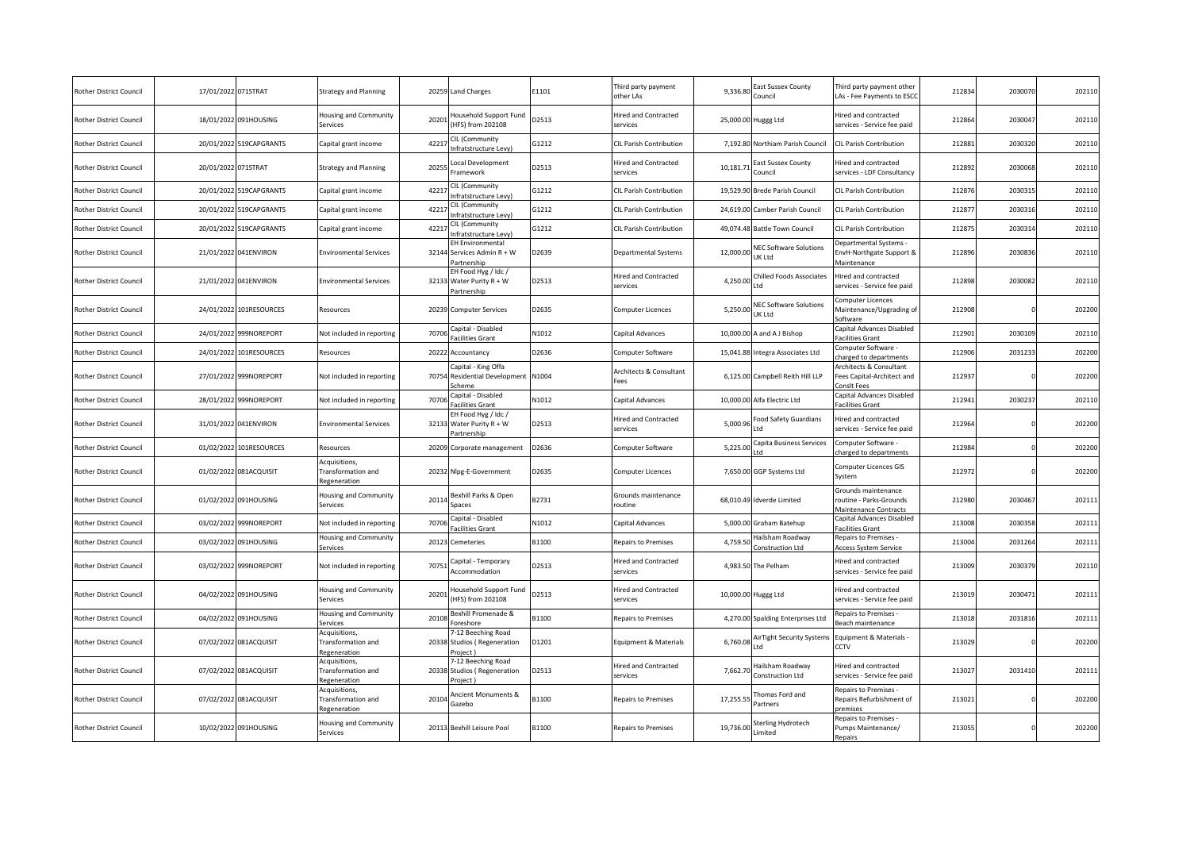| <b>Rother District Council</b> | 17/01/2022 071STRAT |                         | <b>Strategy and Planning</b>                        | 20259 | <b>Land Charges</b>                                            | E1101        | Third party payment<br>other LAs        | 9.336.80  | East Sussex County<br>Council           | Third party payment other<br>LAs - Fee Payments to ESCO                 | 212834 | 2030070 | 202110 |
|--------------------------------|---------------------|-------------------------|-----------------------------------------------------|-------|----------------------------------------------------------------|--------------|-----------------------------------------|-----------|-----------------------------------------|-------------------------------------------------------------------------|--------|---------|--------|
| <b>Rother District Council</b> |                     | 18/01/2022 091HOUSING   | Housing and Community<br>Services                   | 2020  | lousehold Support Fund<br>HFS) from 202108                     | D2513        | Hired and Contracted<br>services        |           | 25,000.00 Huggg Ltd                     | Hired and contracted<br>services - Service fee paid                     | 212864 | 2030047 | 202110 |
| <b>Rother District Council</b> |                     | 20/01/2022 519CAPGRANTS | Capital grant income                                | 4221  | CIL (Community<br>nfratstructure Levy)                         | G1212        | CIL Parish Contribution                 |           | 7,192.80 Northiam Parish Council        | <b>CIL Parish Contribution</b>                                          | 212881 | 2030320 | 202110 |
| <b>Rother District Council</b> | 20/01/2022 071STRAT |                         | <b>Strategy and Planning</b>                        | 2025  | ocal Development<br>ramework                                   | D2513        | Hired and Contracted<br>services        | 10,181.71 | East Sussex County<br>Council           | Hired and contracted<br>services - LDF Consultancy                      | 212892 | 2030068 | 202110 |
| <b>Rother District Council</b> | 20/01/2022          | 519CAPGRANTS            | Capital grant income                                | 4221  | CIL (Community<br>nfratstructure Levy)                         | 31212        | CIL Parish Contribution                 |           | 19,529.90 Brede Parish Council          | CIL Parish Contribution                                                 | 212876 | 2030315 | 20211  |
| Rother District Council        | 20/01/2022          | 519CAPGRANTS            | Capital grant income                                | 4221  | CIL (Community<br>nfratstructure Levy)                         | G1212        | CIL Parish Contribution                 |           | 24,619.00 Camber Parish Council         | CIL Parish Contribution                                                 | 21287  | 2030316 | 202110 |
| <b>Rother District Council</b> | 20/01/2022          | 519CAPGRANTS            | Capital grant income                                | 4221  | CIL (Community<br>nfratstructure Levy)                         | G1212        | CIL Parish Contribution                 |           | 49,074.48 Battle Town Council           | CIL Parish Contribution                                                 | 212875 | 203031  | 202110 |
| <b>Rother District Council</b> |                     | 21/01/2022 041ENVIRON   | <b>Environmental Services</b>                       | 32144 | EH Environmental<br>Services Admin R + W<br>artnership         | D2639        | Departmental Systems                    | 12,000.00 | <b>NEC Software Solutions</b><br>UK Ltd | epartmental Systems -<br>EnvH-Northgate Support &<br>Maintenance        | 212896 | 2030836 | 202110 |
| <b>Rother District Council</b> |                     | 21/01/2022 041ENVIRON   | <b>Environmental Services</b>                       |       | EH Food Hyg / Idc /<br>32133 Water Purity R + W<br>Partnership | D2513        | Hired and Contracted<br>services        | 4,250.00  | Chilled Foods Associates<br>Ltd         | lired and contracted<br>services - Service fee paid                     | 212898 | 2030082 | 202110 |
| <b>Rother District Council</b> |                     | 24/01/2022 101RESOURCES | Resources                                           | 20239 | Computer Services                                              | D2635        | Computer Licences                       | 5,250.00  | <b>NEC Software Solutions</b><br>UK Ltd | Computer Licences<br>Maintenance/Upgrading of<br>oftware                | 212908 |         | 202200 |
| <b>Rother District Council</b> | 24/01/2022          | 999NOREPORT             | Not included in reporting                           | 7070  | Capital - Disabled<br>acilities Grant                          | N1012        | Capital Advances                        |           | 10,000.00 A and A J Bishop              | Capital Advances Disabled<br>acilities Grant                            | 212901 | 2030109 | 202110 |
| <b>Rother District Council</b> | 24/01/2022          | 101RESOURCES            | Resources                                           | 20222 | Accountancy                                                    | D2636        | Computer Software                       |           | 15,041.88 Integra Associates Ltd        | Computer Software -<br>harged to departments                            | 212906 | 2031233 | 202200 |
| <b>Rother District Council</b> |                     | 27/01/2022 999NOREPORT  | Not included in reporting                           | 70754 | Capital - King Offa<br>Residential Development N1004<br>icheme |              | Architects & Consultant<br>ees          |           | 6,125.00 Campbell Reith Hill LLP        | Architects & Consultant<br>ees Capital-Architect and<br>Consit Fees     | 212937 |         | 202200 |
| Rother District Council        | 28/01/2022          | 999NOREPORT             | Not included in reporting                           | 7070  | Capital - Disabled<br>acilities Grant                          | <b>V1012</b> | Capital Advances                        |           | 10,000.00 Alfa Electric Ltd             | Capital Advances Disabled<br>acilities Grant                            | 212941 | 203023  | 202110 |
| <b>Rother District Council</b> |                     | 31/01/2022 041ENVIRON   | <b>Environmental Services</b>                       | 3213  | EH Food Hyg / Idc /<br>Water Purity R + W<br>Partnership       | D2513        | Hired and Contracted<br>services        | 5,000.96  | Food Safety Guardians<br>td             | Hired and contracted<br>services - Service fee paid                     | 212964 |         | 202200 |
| <b>Rother District Council</b> |                     | 01/02/2022 101RESOURCES | Resources                                           | 20209 | Corporate management                                           | D2636        | Computer Software                       | 5,225.00  | Capita Business Services                | Computer Software<br>charged to departments                             | 212984 |         | 202200 |
| <b>Rother District Council</b> |                     | 01/02/2022 081ACQUISIT  | Acquisitions,<br>Transformation and<br>Regeneration | 20232 | Nlpg-E-Government                                              | D2635        | Computer Licences                       |           | 7,650.00 GGP Systems Ltd                | Computer Licences GIS<br>System                                         | 212972 |         | 202200 |
| <b>Rother District Council</b> |                     | 01/02/2022 091HOUSING   | lousing and Community<br>Services                   | 2011  | Bexhill Parks & Open<br>Spaces                                 | B2731        | Grounds maintenance<br>routine          |           | 68,010.49 Idverde Limited               | Grounds maintenance<br>routine - Parks-Grounds<br>Maintenance Contracts | 212980 | 2030467 | 202111 |
| <b>Rother District Council</b> | 03/02/2022          | 999NOREPORT             | Not included in reporting                           | 7070  | Capital - Disabled<br>acilities Grant                          | N1012        | Capital Advances                        |           | 5,000.00 Graham Batehup                 | Capital Advances Disabled<br>acilities Grant                            | 213008 | 2030358 | 20211  |
| <b>Rother District Council</b> | 03/02/2022          | 091HOUSING              | lousing and Community<br>iervices                   | 2012  | Cemeteries                                                     | B1100        | Repairs to Premises                     | 4,759.50  | Hailsham Roadway<br>Construction Ltd    | Repairs to Premises -<br><b>Access System Service</b>                   | 213004 | 203126  | 202111 |
| <b>Rother District Council</b> |                     | 03/02/2022 999NOREPORT  | Not included in reporting                           | 7075  | Capital - Temporary<br>Accommodation                           | D2513        | Hired and Contracted<br>services        |           | 4,983.50 The Pelham                     | Hired and contracted<br>services - Service fee paid                     | 213009 | 2030379 | 202110 |
| <b>Rother District Council</b> |                     | 04/02/2022 091HOUSING   | Housing and Community<br>Services                   | 2020  | lousehold Support Fund<br>HFS) from 202108                     | D2513        | <b>Hired and Contracted</b><br>services |           | 10,000.00 Huggg Ltd                     | Hired and contracted<br>services - Service fee paid                     | 213019 | 2030471 | 202111 |
| <b>Rother District Council</b> | 04/02/2022          | 091HOUSING              | Housing and Community<br>ervices                    | 2010  | Bexhill Promenade &<br>oreshore                                | B1100        | Repairs to Premises                     |           | 4,270.00 Spalding Enterprises Ltd       | Repairs to Premises -<br>Beach maintenance                              | 213018 | 2031816 | 202111 |
| <b>Rother District Council</b> |                     | 07/02/2022 081ACQUISIT  | Acquisitions,<br>Transformation and<br>Regeneration | 20338 | -12 Beeching Road<br><b>Studios (Regeneration</b><br>Project)  | D1201        | Equipment & Materials                   | 6,760.08  | AirTight Security Systems<br>Ltd        | Equipment & Materials -<br>CCTV                                         | 213029 |         | 202200 |
| <b>Rother District Council</b> |                     | 07/02/2022 081ACQUISIT  | Acquisitions,<br>Transformation and<br>Regeneration | 20338 | 7-12 Beeching Road<br><b>Studios (Regeneration</b><br>roject)  | D2513        | Hired and Contracted<br>services        | 7,662.70  | Hailsham Roadway<br>Construction Ltd    | lired and contracted<br>services - Service fee paid                     | 213027 | 2031410 | 202111 |
| <b>Rother District Council</b> |                     | 07/02/2022 081ACQUISIT  | Acquisitions,<br>Transformation and<br>Regeneration | 2010  | Ancient Monuments &<br>Gazebo                                  | B1100        | Repairs to Premises                     | 17,255.55 | Thomas Ford and<br>Partners             | Repairs to Premises -<br>Repairs Refurbishment of<br>oremises           | 213021 |         | 202200 |
| <b>Rother District Council</b> |                     | 10/02/2022 091HOUSING   | lousing and Community<br>Services                   |       | 20113 Bexhill Leisure Pool                                     | B1100        | Repairs to Premises                     | 19,736.00 | Sterling Hydrotech<br>Limited           | Repairs to Premises<br>Pumps Maintenance/<br>Repairs                    | 213055 |         | 202200 |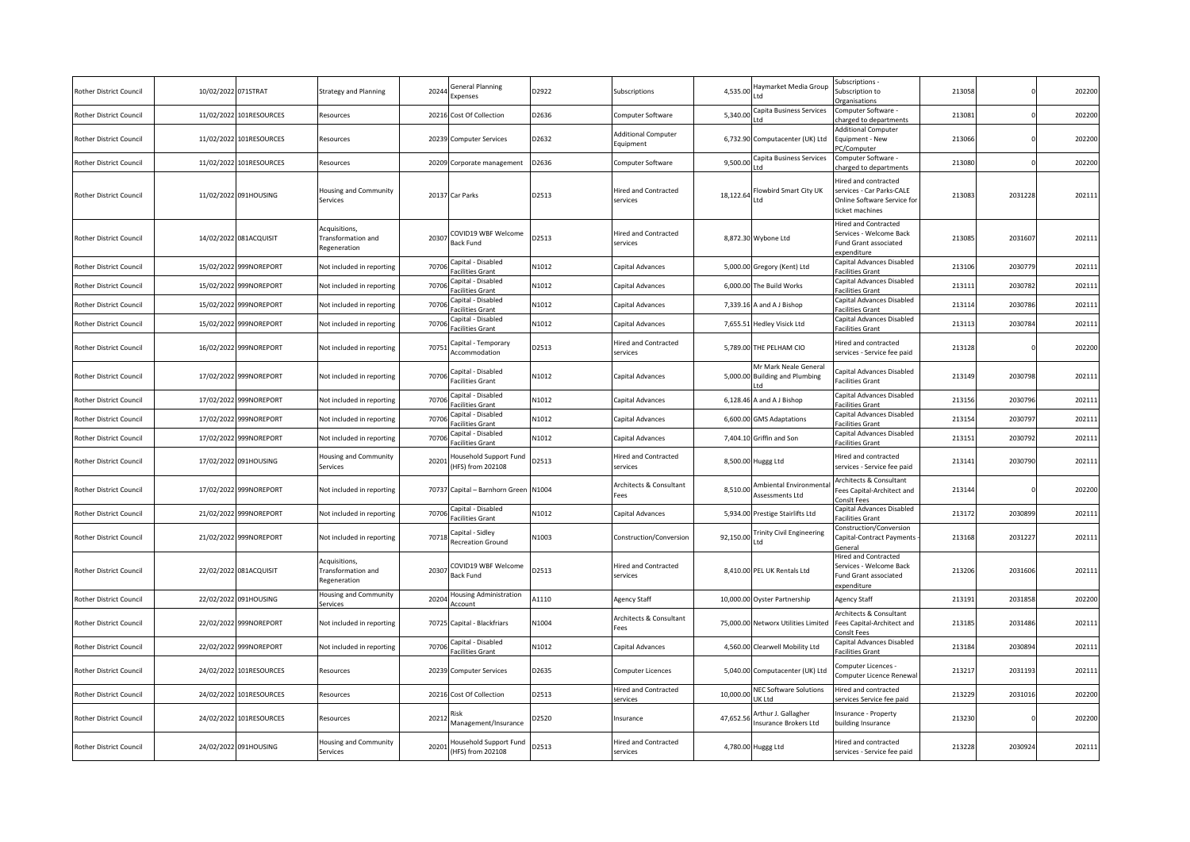| <b>Rother District Council</b> | 10/02/2022 071STRAT |                         | <b>Strategy and Planning</b>                               | 20244 | General Planning<br>Expenses                 | D2922 | Subscriptions                           | 4,535.00  | Haymarket Media Group<br>ht I                         | ubscriptions -<br>Subscription to<br>rganisations                                                  | 213058 |         | 202200 |
|--------------------------------|---------------------|-------------------------|------------------------------------------------------------|-------|----------------------------------------------|-------|-----------------------------------------|-----------|-------------------------------------------------------|----------------------------------------------------------------------------------------------------|--------|---------|--------|
| Rother District Council        | 11/02/2022          | 101RESOURCES            | Resources                                                  | 20216 | Cost Of Collection                           | D2636 | Computer Software                       | 5,340.00  | Capita Business Services                              | Computer Software<br>harged to departments                                                         | 21308  |         | 202200 |
| Rother District Council        |                     | 11/02/2022 101RESOURCES | Resources                                                  | 20239 | <b>Computer Services</b>                     | D2632 | <b>Additional Computer</b><br>Equipment |           | 6,732.90 Computacenter (UK) Ltd                       | <b>Additional Computer</b><br>Equipment - New<br>C/Computer                                        | 213066 |         | 202200 |
| <b>Rother District Council</b> | 11/02/2022          | 101RESOURCES            | Resources                                                  | 20209 | Corporate management                         | D2636 | Computer Software                       | 9,500.00  | Capita Business Services                              | Computer Software -<br>harged to departments                                                       | 213080 |         | 202200 |
| Rother District Council        |                     | 11/02/2022 091HOUSING   | Housing and Community<br>Services                          |       | 20137 Car Parks                              | D2513 | <b>Hired and Contracted</b><br>services | 18,122.64 | Flowbird Smart City UK<br>Ltd                         | lired and contracted<br>ervices - Car Parks-CALE<br>Online Software Service for<br>ticket machines | 213083 | 2031228 | 202111 |
| Rother District Council        |                     | 14/02/2022 081ACQUISIT  | Acquisitions,<br><b>Transformation and</b><br>Regeneration | 20307 | COVID19 WBF Welcome<br><b>Back Fund</b>      | D2513 | <b>Hired and Contracted</b><br>services |           | 8,872.30 Wybone Ltd                                   | lired and Contracted<br>Services - Welcome Back<br>Fund Grant associated<br>xpenditure             | 213085 | 2031607 | 202111 |
| Rother District Council        | 15/02/2022          | 999NOREPORT             | Not included in reporting                                  | 70706 | Capital - Disabled<br>acilities Grant        | N1012 | Capital Advances                        | 5,000.00  | Gregory (Kent) Ltd                                    | Capital Advances Disabled<br>acilities Grant                                                       | 213106 | 2030779 | 20211  |
| Rother District Council        | 15/02/2022          | 999NOREPORT             | Not included in reporting                                  | 70706 | Capital - Disabled<br>Facilities Grant       | N1012 | Capital Advances                        | 6,000.00  | The Build Works                                       | Capital Advances Disabled<br>acilities Grant                                                       | 21311  | 2030782 | 20211: |
| Rother District Council        | 15/02/2022          | 999NOREPORT             | Not included in reporting                                  | 70706 | Capital - Disabled<br>acilities Grant        | N1012 | Capital Advances                        | 7,339.16  | A and A J Bishop                                      | Capital Advances Disabled<br>acilities Grant                                                       | 21311  | 2030786 | 20211: |
| Rother District Council        | 15/02/2022          | 999NOREPORT             | Not included in reporting                                  | 70706 | Capital - Disabled<br>Facilities Grant       | N1012 | Capital Advances                        | 7,655.51  | Hedley Visick Ltd                                     | Capital Advances Disabled<br>acilities Grant                                                       | 213113 | 2030784 | 20211  |
| <b>Rother District Council</b> |                     | 16/02/2022 999NOREPORT  | Not included in reporting                                  | 70751 | Capital - Temporary<br>Accommodation         | D2513 | <b>Hired and Contracted</b><br>services |           | 5,789.00 THE PELHAM CIO                               | lired and contracted<br>services - Service fee paid                                                | 213128 |         | 202200 |
| Rother District Council        |                     | 17/02/2022 999NOREPORT  | Not included in reporting                                  | 70706 | Capital - Disabled<br>Facilities Grant       | N1012 | Capital Advances                        | 5,000.00  | Mr Mark Neale General<br><b>Building and Plumbing</b> | Capital Advances Disabled<br>acilities Grant                                                       | 213149 | 2030798 | 202111 |
| Rother District Council        | 17/02/2022          | 999NOREPORT             | Not included in reporting                                  | 70706 | Capital - Disabled<br>acilities Grant        | N1012 | Capital Advances                        | 6,128.46  | A and A J Bishop                                      | apital Advances Disabled<br>acilities Grant                                                        | 213156 | 2030796 | 20211  |
| Rother District Council        | 17/02/2022          | 999NOREPORT             | Not included in reporting                                  | 70706 | Capital - Disabled<br>Facilities Grant       | N1012 | Capital Advances                        | 6,600.00  | <b>GMS Adaptations</b>                                | Capital Advances Disabled<br>acilities Grant                                                       | 21315  | 203079  | 20211: |
| Rother District Council        | 17/02/2022          | 999NOREPORT             | Not included in reporting                                  | 70706 | Capital - Disabled<br>acilities Grant        | N1012 | Capital Advances                        | 7,404.10  | Griffin and Son                                       | Capital Advances Disabled<br>acilities Grant                                                       | 21315  | 2030792 | 20211: |
| <b>Rother District Council</b> |                     | 17/02/2022 091HOUSING   | Housing and Community<br>Services                          | 20201 | lousehold Support Fund<br>(HFS) from 202108  | D2513 | <b>Hired and Contracted</b><br>services |           | 8,500.00 Huggg Ltd                                    | lired and contracted<br>services - Service fee paid                                                | 21314  | 2030790 | 202111 |
| <b>Rother District Council</b> |                     | 17/02/2022 999NOREPORT  | Not included in reporting                                  |       | 70737 Capital - Barnhorn Green N1004         |       | Architects & Consultant<br>Fees         | 8,510.00  | Ambiental Environmenta<br>Assessments Ltd             | Architects & Consultant<br>ees Capital-Architect and<br>onsit Fees                                 | 213144 |         | 202200 |
| Rother District Council        | 21/02/2022          | 999NOREPORT             | Not included in reporting                                  | 70706 | Capital - Disabled<br>Facilities Grant       | N1012 | Capital Advances                        |           | 5,934.00 Prestige Stairlifts Ltd                      | Capital Advances Disabled<br>acilities Grant                                                       | 21317  | 2030899 | 20211  |
| Rother District Council        |                     | 21/02/2022 999NOREPORT  | Not included in reporting                                  | 7071  | Capital - Sidley<br><b>Recreation Ground</b> | N1003 | Construction/Conversion                 | 92,150.00 | <b>Frinity Civil Engineering</b><br>td                | Construction/Conversion<br>Capital-Contract Payments<br>ieneral                                    | 213168 | 2031227 | 202111 |
| Rother District Council        |                     | 22/02/2022 081ACQUISIT  | Acquisitions,<br>Fransformation and<br>Regeneration        | 20307 | COVID19 WBF Welcome<br>Back Fund             | D2513 | Hired and Contracted<br>services        |           | 8,410.00 PEL UK Rentals Ltd                           | lired and Contracted<br>Services - Welcome Back<br>Fund Grant associated<br>xpenditure             | 213206 | 2031606 | 202111 |
| Rother District Council        |                     | 22/02/2022 091HOUSING   | <b>Housing and Community</b><br>Services                   | 20204 | <b>Housing Administration</b><br>Account     | 41110 | <b>Agency Staff</b>                     |           | 10,000.00 Oyster Partnership                          | Agency Staff                                                                                       | 21319  | 2031858 | 202200 |
| <b>Rother District Council</b> |                     | 22/02/2022 999NOREPORT  | Not included in reporting                                  |       | 70725 Capital - Blackfriars                  | N1004 | Architects & Consultant<br>Fees         |           | 75,000.00 Networx Utilities Limited                   | Architects & Consultant<br>Fees Capital-Architect and<br>onsit Fees                                | 213185 | 2031486 | 202111 |
| Rother District Council        | 22/02/2022          | 999NOREPORT             | Not included in reporting                                  | 70706 | Capital - Disabled<br>Facilities Grant       | N1012 | Capital Advances                        |           | 4,560.00 Clearwell Mobility Ltd                       | Capital Advances Disabled<br>acilities Grant                                                       | 213184 | 2030894 | 20211  |
| Rother District Council        |                     | 24/02/2022 101RESOURCES | Resources                                                  | 20239 | <b>Computer Services</b>                     | D2635 | Computer Licences                       |           | 5,040.00 Computacenter (UK) Ltd                       | Computer Licences -<br>Computer Licence Renewa                                                     | 213217 | 2031193 | 202111 |
| Rother District Council        | 24/02/2022          | 101RESOURCES            | Resources                                                  | 20216 | Cost Of Collection                           | D2513 | <b>Hired and Contracted</b><br>ervices  | 10,000.00 | NEC Software Solutions<br>JK I td                     | lired and contracted<br>ervices Service fee paid                                                   | 213229 | 2031016 | 202200 |
| Rother District Council        |                     | 24/02/2022 101RESOURCES | Resources                                                  | 20212 | Risk<br>Management/Insurance                 | D2520 | Insurance                               | 47,652.56 | Arthur J. Gallagher<br><b>Insurance Brokers Ltd</b>   | nsurance - Property<br>building Insurance                                                          | 213230 |         | 202200 |
| <b>Rother District Council</b> |                     | 24/02/2022 091HOUSING   | <b>Housing and Community</b><br>Services                   | 20201 | Household Support Fund<br>(HFS) from 202108  | D2513 | <b>Hired and Contracted</b><br>services |           | 4,780.00 Huggg Ltd                                    | Hired and contracted<br>services - Service fee paid                                                | 213228 | 2030924 | 202111 |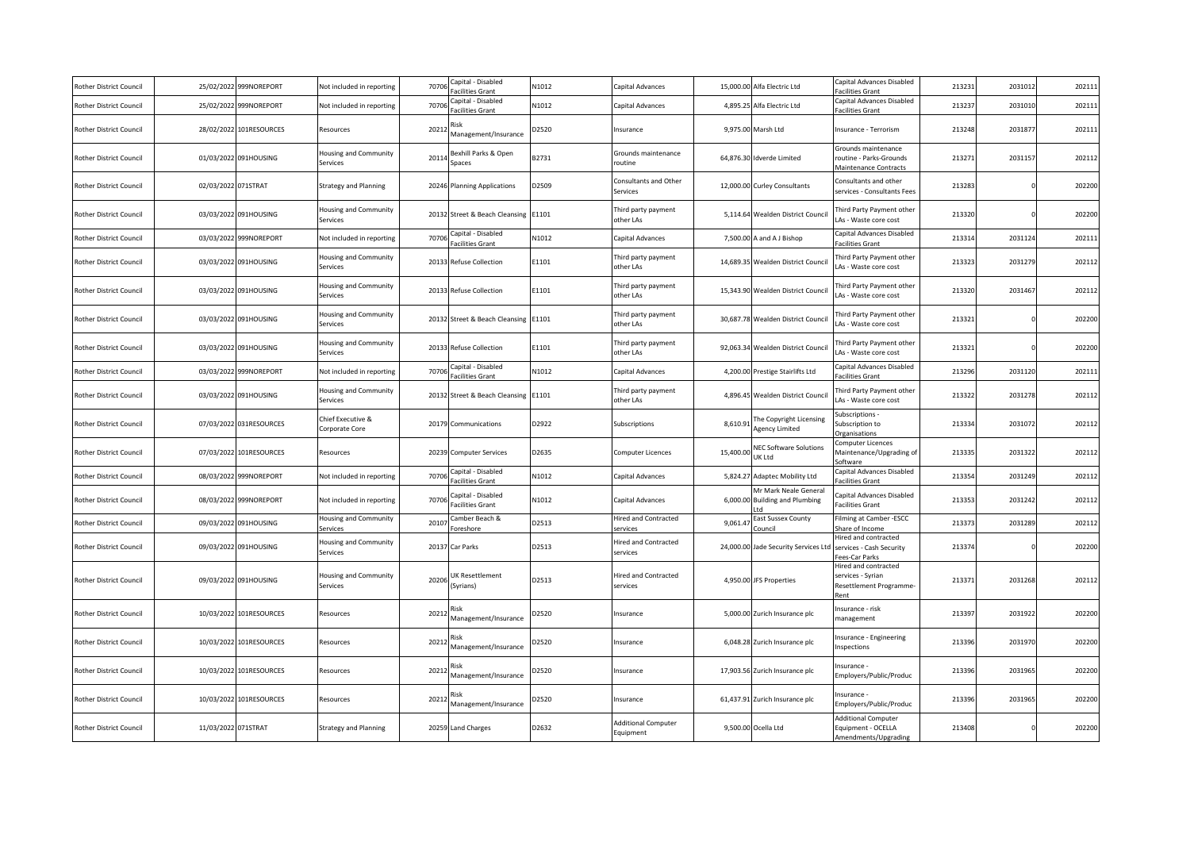| Rother District Council        | 25/02/2022          | 999NOREPORT             | Not included in reporting           | 70706 | Capital - Disabled<br>acilities Grant  | N1012 | Capital Advances                        |           | 15,000.00 Alfa Electric Ltd                                   | Capital Advances Disabled<br>acilities Grant                                 | 213231 | 203101  | 202111 |
|--------------------------------|---------------------|-------------------------|-------------------------------------|-------|----------------------------------------|-------|-----------------------------------------|-----------|---------------------------------------------------------------|------------------------------------------------------------------------------|--------|---------|--------|
| <b>Rother District Council</b> | 25/02/2022          | 999NOREPORT             | Not included in reporting           | 7070  | Capital - Disabled<br>acilities Grant  | N1012 | Capital Advances                        | 4,895.25  | Alfa Electric Ltd                                             | Capital Advances Disabled<br>acilities Grant                                 | 21323  | 203101  | 202111 |
| <b>Rother District Council</b> |                     | 28/02/2022 101RESOURCES | Resources                           | 2021  | lisk<br>Management/Insurance           | D2520 | nsurance                                |           | 9,975.00 Marsh Ltd                                            | Insurance - Terrorism                                                        | 213248 | 2031877 | 202111 |
| <b>Rother District Council</b> |                     | 01/03/2022 091HOUSING   | lousing and Community<br>Services   | 20114 | Bexhill Parks & Open<br>Spaces         | B2731 | Grounds maintenance<br>outine           |           | 64,876.30 Idverde Limited                                     | Grounds maintenance<br>routine - Parks-Grounds<br>Maintenance Contracts      | 213271 | 2031157 | 202112 |
| <b>Rother District Council</b> | 02/03/2022 071STRAT |                         | <b>Strategy and Planning</b>        |       | 20246 Planning Applications            | D2509 | Consultants and Other<br>Services       |           | 12,000.00 Curley Consultants                                  | Consultants and other<br>services - Consultants Fees                         | 213283 |         | 202200 |
| <b>Rother District Council</b> |                     | 03/03/2022 091HOUSING   | Housing and Community<br>Services   |       | 20132 Street & Beach Cleansing E1101   |       | hird party payment<br>other LAs         |           | 5,114.64 Wealden District Council                             | Third Party Payment other<br>LAs - Waste core cost                           | 213320 |         | 202200 |
| Rother District Council        | 03/03/2022          | 999NOREPORT             | Not included in reporting           | 70706 | Capital - Disabled<br>acilities Grant  | N1012 | Capital Advances                        |           | 7,500.00 A and A J Bishop                                     | Capital Advances Disabled<br>acilities Grant                                 | 213314 | 2031124 | 202111 |
| <b>Rother District Council</b> |                     | 03/03/2022 091HOUSING   | Housing and Community<br>Services   |       | 20133 Refuse Collection                | E1101 | hird party payment<br>other LAs         |           | 14,689.35 Wealden District Counci                             | Third Party Payment other<br>As - Waste core cost                            | 213323 | 2031279 | 202112 |
| Rother District Council        |                     | 03/03/2022 091HOUSING   | Housing and Community<br>Services   |       | 20133 Refuse Collection                | E1101 | Third party payment<br>other LAs        |           | 15,343.90 Wealden District Council                            | Third Party Payment other<br>LAs - Waste core cost                           | 213320 | 2031467 | 202112 |
| <b>Rother District Council</b> |                     | 03/03/2022 091HOUSING   | Housing and Community<br>Services   |       | 20132 Street & Beach Cleansing E1101   |       | Third party payment<br>other LAs        |           | 30,687.78 Wealden District Council                            | Third Party Payment other<br>As - Waste core cost                            | 213321 |         | 202200 |
| <b>Rother District Council</b> |                     | 03/03/2022 091HOUSING   | lousing and Community<br>Services   | 20133 | Refuse Collection                      | E1101 | hird party payment<br>other LAs         |           | 92,063.34 Wealden District Council                            | Third Party Payment other<br>LAs - Waste core cost                           | 213321 |         | 202200 |
| <b>Rother District Council</b> | 03/03/2022          | 999NOREPORT             | Not included in reporting           | 70706 | Capital - Disabled<br>acilities Grant  | N1012 | Capital Advances                        |           | 4,200.00 Prestige Stairlifts Ltd                              | Capital Advances Disabled<br>acilities Grant                                 | 213296 | 2031120 | 202111 |
| Rother District Council        |                     | 03/03/2022 091HOUSING   | Housing and Community<br>Services   |       | 20132 Street & Beach Cleansing E1101   |       | Third party payment<br>other LAs        |           | 4,896.45 Wealden District Counci                              | Third Party Payment other<br>LAs - Waste core cost                           | 213322 | 2031278 | 202112 |
| <b>Rother District Council</b> |                     | 07/03/2022 031RESOURCES | Chief Executive &<br>Corporate Core |       | 20179 Communications                   | D2922 | Subscriptions                           | 8,610.91  | The Copyright Licensing<br>Agency Limited                     | ubscriptions -<br>Subscription to<br><b>Organisations</b>                    | 213334 | 2031072 | 202112 |
| <b>Rother District Council</b> |                     | 07/03/2022 101RESOURCES | Resources                           | 20239 | <b>Computer Services</b>               | D2635 | Computer Licences                       | 15,400.00 | <b>NEC Software Solutions</b><br>UK Ltd                       | Computer Licences<br>Maintenance/Upgrading of<br>oftware                     | 213335 | 2031322 | 202112 |
| <b>Rother District Council</b> | 08/03/2022          | 999NOREPORT             | Not included in reporting           | 7070  | Capital - Disabled<br>acilities Grant  | N1012 | Capital Advances                        |           | 5,824.27 Adaptec Mobility Ltd                                 | Capital Advances Disabled<br>acilities Grant                                 | 213354 | 2031249 | 202112 |
| Rother District Council        |                     | 08/03/2022 999NOREPORT  | Not included in reporting           | 7070  | Capital - Disabled<br>Facilities Grant | N1012 | Capital Advances                        |           | Mr Mark Neale General<br>6,000.00 Building and Plumbing<br>td | Capital Advances Disabled<br>Facilities Grant                                | 213353 | 2031242 | 202112 |
| <b>Rother District Council</b> | 09/03/2022          | 091HOUSING              | Housing and Community<br>ervices    | 2010  | Camber Beach &<br>oreshore             | D2513 | Hired and Contracted<br>ervices         | 9,061.47  | East Sussex County<br><b>Council</b>                          | ilming at Camber -ESCC<br>Share of Income                                    | 213373 | 2031289 | 202112 |
| <b>Rother District Council</b> |                     | 09/03/2022 091HOUSING   | Housing and Community<br>Services   | 20137 | Car Parks                              | D2513 | Hired and Contracted<br>services        |           | 24,000.00 Jade Security Services Ltd                          | lired and contracted<br>services - Cash Security<br>ees-Car Parks            | 213374 |         | 202200 |
| <b>Rother District Council</b> |                     | 09/03/2022 091HOUSING   | Housing and Community<br>Services   | 2020  | UK Resettlement<br>(Syrians)           | D2513 | Hired and Contracted<br>services        |           | 4,950.00 JFS Properties                                       | Hired and contracted<br>services - Syrian<br>Resettlement Programme-<br>Rent | 213371 | 2031268 | 202112 |
| <b>Rother District Council</b> |                     | 10/03/2022 101RESOURCES | Resources                           | 2021  | lisk<br>Management/Insurance           | D2520 | nsurance                                |           | 5,000.00 Zurich Insurance plc                                 | nsurance - risk<br>nanagement                                                | 213397 | 2031922 | 202200 |
| Rother District Council        |                     | 10/03/2022 101RESOURCES | Resources                           | 2021  | Risk<br>Management/Insurance           | D2520 | nsurance                                |           | 6,048.28 Zurich Insurance plc                                 | nsurance - Engineering<br>nspections                                         | 213396 | 2031970 | 202200 |
| <b>Rother District Council</b> |                     | 10/03/2022 101RESOURCES | Resources                           | 20212 | Risk<br>Management/Insurance           | D2520 | nsurance                                |           | 17,903.56 Zurich Insurance plc                                | nsurance -<br>Employers/Public/Produc                                        | 213396 | 2031965 | 202200 |
| Rother District Council        |                     | 10/03/2022 101RESOURCES | Resources                           | 20212 | Risk<br>Management/Insurance           | D2520 | nsurance                                |           | 61,437.91 Zurich Insurance plc                                | nsurance -<br>Employers/Public/Produc                                        | 213396 | 2031965 | 202200 |
| <b>Rother District Council</b> | 11/03/2022 071STRAT |                         | <b>Strategy and Planning</b>        | 20259 | <b>Land Charges</b>                    | D2632 | <b>Additional Computer</b><br>Equipment |           | 9,500.00 Ocella Ltd                                           | <b>Additional Computer</b><br>Equipment - OCELLA<br>Amendments/Upgrading     | 213408 |         | 202200 |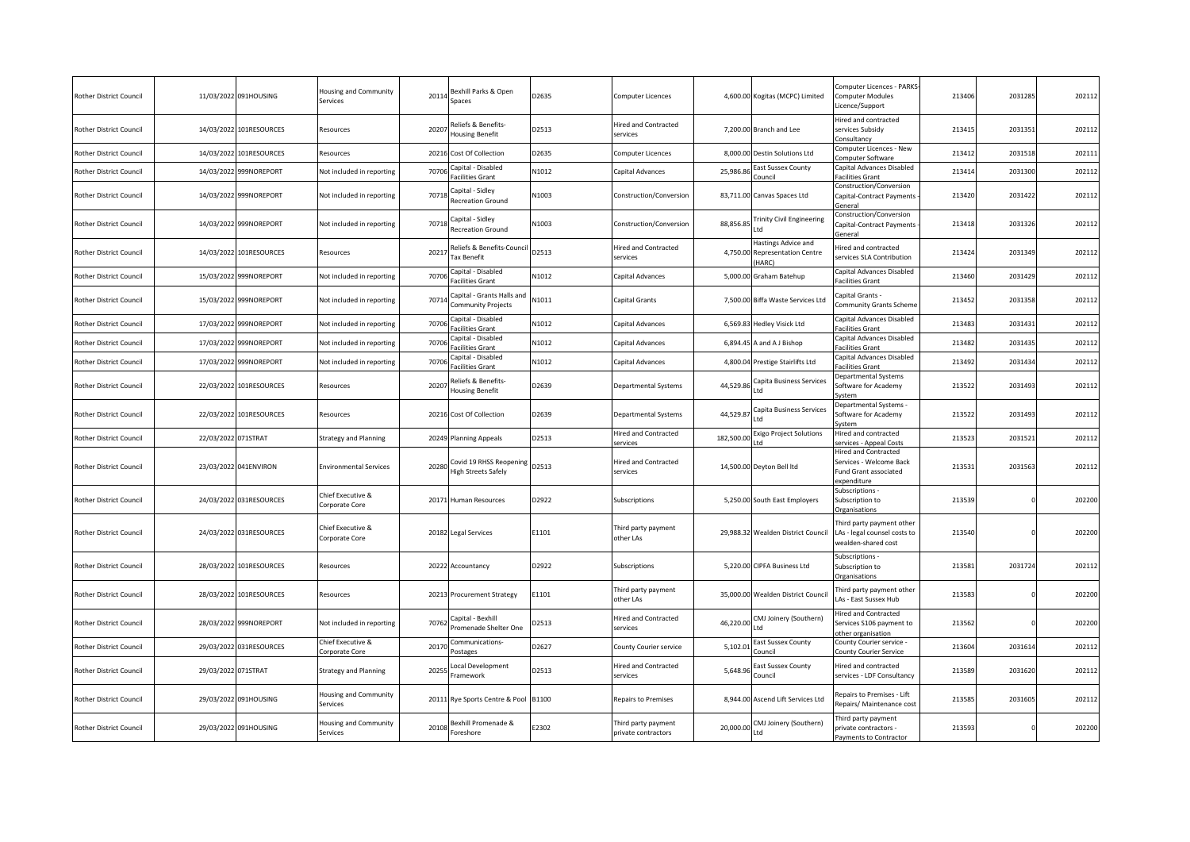| Rother District Council        |                     | 11/03/2022 091HOUSING   | Housing and Community<br>Services        | 20114 | Bexhill Parks & Open<br>Spaces                        | D2635 | Computer Licences                          |           | 4,600.00 Kogitas (MCPC) Limited                              | Computer Licences - PARKS-<br>Computer Modules<br>icence/Support                       | 213406 | 203128  | 202112 |
|--------------------------------|---------------------|-------------------------|------------------------------------------|-------|-------------------------------------------------------|-------|--------------------------------------------|-----------|--------------------------------------------------------------|----------------------------------------------------------------------------------------|--------|---------|--------|
| Rother District Council        |                     | 14/03/2022 101RESOURCES | Resources                                | 2020  | Reliefs & Benefits-<br>Housing Benefit                | D2513 | <b>Hired and Contracted</b><br>services    |           | 7,200.00 Branch and Lee                                      | Hired and contracted<br>services Subsidy<br>consultancy                                | 213415 | 2031351 | 202112 |
| <b>Rother District Council</b> |                     | 14/03/2022 101RESOURCES | Resources                                |       | 20216 Cost Of Collection                              | D2635 | Computer Licences                          |           | 8,000.00 Destin Solutions Ltd                                | Computer Licences - New<br>Computer Software                                           | 213412 | 2031518 | 20211  |
| Rother District Council        | 14/03/2022          | 999NOREPORT             | Not included in reporting                | 70706 | Capital - Disabled<br>acilities Grant                 | N1012 | Capital Advances                           | 25,986.86 | East Sussex County                                           | Capital Advances Disabled<br>Facilities Grant                                          | 21341  | 2031300 | 202112 |
| <b>Rother District Council</b> |                     | 14/03/2022 999NOREPORT  | Not included in reporting                | 70718 | Capital - Sidley<br><b>Recreation Ground</b>          | N1003 | Construction/Conversion                    |           | 83,711.00 Canvas Spaces Ltd                                  | Construction/Conversion<br>Capital-Contract Payments<br>General                        | 213420 | 2031422 | 202112 |
| Rother District Council        |                     | 14/03/2022 999NOREPORT  | Not included in reporting                | 7071  | Capital - Sidley<br><b>Recreation Ground</b>          | N1003 | Construction/Conversion                    | 88,856.85 | <b>Trinity Civil Engineering</b><br>Ltd                      | Construction/Conversion<br>Capital-Contract Payments<br>ieneral                        | 213418 | 2031326 | 202112 |
| Rother District Council        |                     | 14/03/2022 101RESOURCES | Resources                                | 2021  | Reliefs & Benefits-Council<br><b>Tax Benefit</b>      | D2513 | Hired and Contracted<br>services           | 4,750.00  | Hastings Advice and<br><b>Representation Centre</b><br>HARC) | lired and contracted<br>ervices SLA Contribution                                       | 213424 | 2031349 | 202112 |
| Rother District Council        | 15/03/2022          | 999NOREPORT             | Not included in reporting                | 70706 | Capital - Disabled<br>Facilities Grant                | N1012 | Capital Advances                           | 5,000.00  | Graham Batehup                                               | Capital Advances Disabled<br>acilities Grant                                           | 213460 | 2031429 | 202112 |
| Rother District Council        |                     | 15/03/2022 999NOREPORT  | Not included in reporting                | 7071  | Capital - Grants Halls and<br>Community Projects      | N1011 | Capital Grants                             |           | 7,500.00 Biffa Waste Services Ltd                            | apital Grants -<br>Community Grants Scheme                                             | 213452 | 2031358 | 202112 |
| Rother District Council        | 17/03/2022          | 999NOREPORT             | Not included in reporting                | 70706 | Capital - Disabled<br>Facilities Grant                | N1012 | Capital Advances                           | 6,569.83  | Hedley Visick Ltd                                            | Capital Advances Disabled<br>acilities Grant                                           | 213483 | 203143  | 202112 |
| Rother District Council        | 17/03/2022          | 999NOREPORT             | Not included in reporting                | 70706 | Capital - Disabled<br>Facilities Grant                | N1012 | Capital Advances                           | 6,894.45  | A and A J Bishop                                             | Capital Advances Disabled<br>acilities Grant                                           | 21348  | 203143  | 20211  |
| Rother District Council        | 17/03/2022          | 999NOREPORT             | Not included in reporting                | 7070  | Capital - Disabled<br>Facilities Grant                | N1012 | Capital Advances                           |           | 4,800.04 Prestige Stairlifts Ltd                             | Capital Advances Disabled<br>acilities Grant                                           | 213492 | 2031434 | 202112 |
| Rother District Council        |                     | 22/03/2022 101RESOURCES | Resources                                | 20207 | Reliefs & Benefits-<br>Housing Benefit                | D2639 | Departmental Systems                       | 44,529.86 | Capita Business Services<br>_td                              | Departmental Systems<br>Software for Academy<br>vstem                                  | 213522 | 2031493 | 202112 |
| Rother District Council        |                     | 22/03/2022 101RESOURCES | Resources                                |       | 20216 Cost Of Collection                              | D2639 | Departmental Systems                       | 44,529.8  | Capita Business Services<br>ht I                             | epartmental Systems -<br>Software for Academy<br>ystem                                 | 213522 | 2031493 | 202112 |
| Rother District Council        | 22/03/2022 071STRAT |                         | <b>Strategy and Planning</b>             |       | 20249 Planning Appeals                                | D2513 | Hired and Contracted<br>services           | 182,500.0 | xigo Project Solutions                                       | Hired and contracted<br>ervices - Appeal Costs                                         | 21352  | 203152  | 202112 |
| Rother District Council        |                     | 23/03/2022 041ENVIRON   | <b>Environmental Services</b>            | 20280 | Covid 19 RHSS Reopening<br><b>High Streets Safely</b> | D2513 | <b>Hired and Contracted</b><br>services    |           | 14,500.00 Deyton Bell ltd                                    | Hired and Contracted<br>Services - Welcome Back<br>Fund Grant associated<br>xpenditure | 213531 | 2031563 | 202112 |
| <b>Rother District Council</b> |                     | 24/03/2022 031RESOURCES | Chief Executive &<br>Corporate Core      | 20171 | Human Resources                                       | D2922 | Subscriptions                              |           | 5,250.00 South East Employers                                | Subscriptions -<br>Subscription to<br><b>Organisations</b>                             | 213539 |         | 202200 |
| Rother District Council        |                     | 24/03/2022 031RESOURCES | Chief Executive &<br>Corporate Core      |       | 20182 Legal Services                                  | E1101 | Third party payment<br>other LAs           |           | 29,988.32 Wealden District Council                           | hird party payment other<br>LAs - legal counsel costs to<br>vealden-shared cost        | 213540 |         | 202200 |
| <b>Rother District Council</b> |                     | 28/03/2022 101RESOURCES | Resources                                |       | 20222 Accountancy                                     | D2922 | Subscriptions                              |           | 5,220.00 CIPFA Business Ltd                                  | ubscriptions -<br>Subscription to<br><b>Organisations</b>                              | 213581 | 2031724 | 202112 |
| Rother District Council        |                     | 28/03/2022 101RESOURCES | Resources                                |       | 20213 Procurement Strategy                            | E1101 | Third party payment<br>other LAs           |           | 35,000.00 Wealden District Council                           | hird party payment other<br>As - East Sussex Hub                                       | 213583 |         | 202200 |
| Rother District Council        | 28/03/2022          | 999NOREPORT             | Not included in reporting                | 70762 | Capital - Bexhill<br>Promenade Shelter One            | D2513 | Hired and Contracted<br>services           | 46,220.00 | CMJ Joinery (Southern)<br>_td                                | lired and Contracted<br>ervices S106 payment to<br>other organisation                  | 213562 |         | 202200 |
| Rother District Council        | 29/03/2022          | 031RESOURCES            | Chief Executive &<br>Corporate Core      | 2017  | Communications-<br>Postages                           | D2627 | County Courier service                     | 5,102.0   | East Sussex County<br>Council                                | County Courier service -<br>County Courier Service                                     | 213604 | 2031614 | 20211  |
| Rother District Council        | 29/03/2022 071STRAT |                         | <b>Strategy and Planning</b>             | 2025  | ocal Development<br>Framework                         | D2513 | <b>Hired and Contracted</b><br>services    | 5,648.96  | East Sussex County<br>Council                                | lired and contracted<br>services - LDF Consultancy                                     | 213589 | 2031620 | 202112 |
| Rother District Council        |                     | 29/03/2022 091HOUSING   | <b>Housing and Community</b><br>Services | 20111 | Rye Sports Centre & Pool B1100                        |       | Repairs to Premises                        |           | 8,944.00 Ascend Lift Services Ltd                            | Repairs to Premises - Lift<br>Repairs/ Maintenance cost                                | 213585 | 2031605 | 202112 |
| Rother District Council        |                     | 29/03/2022 091HOUSING   | <b>Housing and Community</b><br>Services | 20108 | Bexhill Promenade &<br>Foreshore                      | E2302 | Third party payment<br>private contractors | 20,000.00 | CMJ Joinery (Southern)<br>Ltd                                | hird party payment<br>private contractors -<br>Payments to Contractor                  | 213593 |         | 202200 |